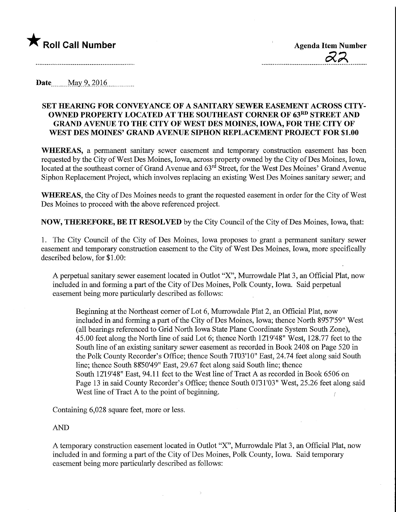

**Date.** May 9, 2016

## SET HEARING FOR CONVEYANCE OF A SANITARY SEWER EASEMENT ACROSS CITY-OWNED PROPERTY LOCATED AT THE SOUTHEAST CORNER OF 63RD STREET AND GRAND AVENUE TO THE CITY OF WEST DES MOINES, IOWA, FOR THE CITY OF WEST DES MOINES' GRAND AVENUE SIPHON REPLACEMENT PROJECT FOR \$1.00

WHEREAS, a permanent sanitary sewer easement and temporary construction easement has been requested by the City of West Des Moines, Iowa, across property owned by the City of Des Moines, Iowa, located at the southeast corner of Grand Avenue and  $63<sup>rd</sup>$  Street, for the West Des Moines' Grand Avenue Siphon Replacement Project, which involves replacing an existing West Des Moines sanitary sewer; and

WHEREAS, the City of Des Moines needs to grant the requested easement in order for the City of West Des Moines to proceed with the above referenced project.

NOW, THEREFORE, BE IT RESOLVED by the City Council of the City of Des Moines, Iowa, that:

1. The City Council of the City of Des Moines, Iowa proposes to grant a permanent sanitary sewer easement and temporary construction easement to the City of West Des Moines, Iowa, more specifically described below, for \$1.00:

A perpetual sanitary sewer easement located in Outlot "X", Murrowdale Plat 3, an Official Plat, now included in and forming a part of the City of Des Moines, Polk County, Iowa. Said perpetual easement being more particularly described as follows:

Beginning at the Northeast corner of Lot 6, Murrowdale Plat 2, an Official Plat, now included in and forming a part of the City of Des Moines, Iowa; thence North 8957'59" West (all bearings referenced to Grid North Iowa State Plane Coordinate System South Zone), 45.00 feet along the North line of said Lot 6; thence North 1219'48" West, 128.77 feet to the South line of an existing sanitary sewer easement as recorded in Book 2408 on Page 520 in the Polk County Recorder's Office; thence South 71D3'10" East, 24.74 feet along said South line; thence South 8850'49" East, 29.67 feet along said South line; thence South 1219'48" East, 94.11 feet to the West line of Tract A as recorded in Book 6506 on Page 13 in said County Recorder's Office; thence South 0131'03" West, 25.26 feet along said West line of Tract A to the point of beginning.

Containing 6,028 square feet, more or less.

## AND

A temporary construction easement located in Outlot "X", Murrowdale Plat 3, an Official Plat, now included in and forming a part of the City of Des Moines, Polk County, Iowa. Said temporary easement being more particularly described as follows: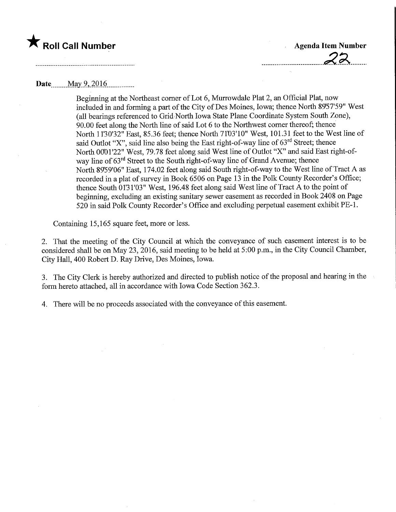

## Date..\_\_May9,2Q16,

Beginning at the Northeast comer of Lot 6, Murrowdale Plat 2, an Official Plat, now included in and forming a part of the City of Des Moines, Iowa; thence North 8957'59" West (all bearings referenced to Grid North Iowa State Plane Coordinate System South Zone), 90.00 feet along the North line of said Lot 6 to the Northwest comer thereof; thence North 1130'32" East, 85.36 feet; thence North 71'03'10" West, 101.31 feet to the West line of said Outlot "X", said line also being the East right-of-way line of  $63<sup>rd</sup>$  Street; thence North 0001'22" West, 79.78 feet along said West line of Outlot "X" and said East right-ofway line of 63<sup>rd</sup> Street to the South right-of-way line of Grand Avenue; thence North 89'59'06" East, 174.02 feet along said South right-of-way to the West line of Tract A as recorded in a plat of survey in Book 6506 on Page 13 in the Polk County Recorder's Office; thence South 0131'03" West, 196.48 feet along said West line of Tract A to the point of beginning, excluding an existing sanitary sewer easement as recorded in Book 2408 on Page 520 in said Polk County Recorder's Office and excluding perpetual easement exhibit PE-1.

Containing 15,165 square feet, more or less.

2. That the meeting of the City Council at which the conveyance of such easement interest is to be considered shall be on May 23, 2016, said meeting to be held at 5:00 p.m., in the City Council Chamber, City Hall, 400 Robert D. Ray Drive, Des Moines, Iowa.

3. The City Clerk is hereby authorized and directed to publish notice of the proposal and hearing in the form hereto attached, all in accordance with Iowa Code Section 362.3.

4. There will be no proceeds associated with the conveyance of this easement.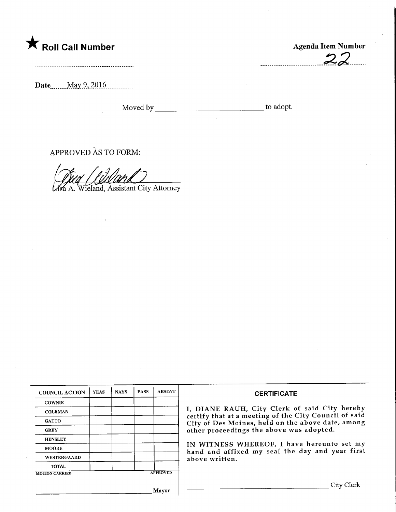## **The Soli Call Number Agenda Item Number** Agenda Item Number

.........................

Date<sub>\_\_\_\_\_</sub>May 9, 2016

Moved by to adopt.

APPROVED AS TO FORM:

Wieland, Assistant City Attorney

| <b>COUNCIL ACTION</b> | <b>YEAS</b> | <b>NAYS</b> | <b>PASS</b> | <b>ABSENT</b>   | <b>CERTIFICATE</b>                                                                                         |  |  |
|-----------------------|-------------|-------------|-------------|-----------------|------------------------------------------------------------------------------------------------------------|--|--|
| <b>COWNIE</b>         |             |             |             |                 |                                                                                                            |  |  |
| <b>COLEMAN</b>        |             |             |             |                 | I, DIANE RAUH, City Clerk of said City hereby                                                              |  |  |
| <b>GATTO</b>          |             |             |             |                 | certify that at a meeting of the City Council of said<br>City of Des Moines, held on the above date, among |  |  |
| <b>GREY</b>           |             |             |             |                 | other proceedings the above was adopted.                                                                   |  |  |
| <b>HENSLEY</b>        |             |             |             |                 |                                                                                                            |  |  |
| <b>MOORE</b>          |             |             |             |                 | IN WITNESS WHEREOF, I have hereunto set my<br>hand and affixed my seal the day and year first              |  |  |
| WESTERGAARD           |             |             |             |                 | above written.                                                                                             |  |  |
| <b>TOTAL</b>          |             |             |             |                 |                                                                                                            |  |  |
| <b>MOTION CARRIED</b> |             |             |             | <b>APPROVED</b> |                                                                                                            |  |  |